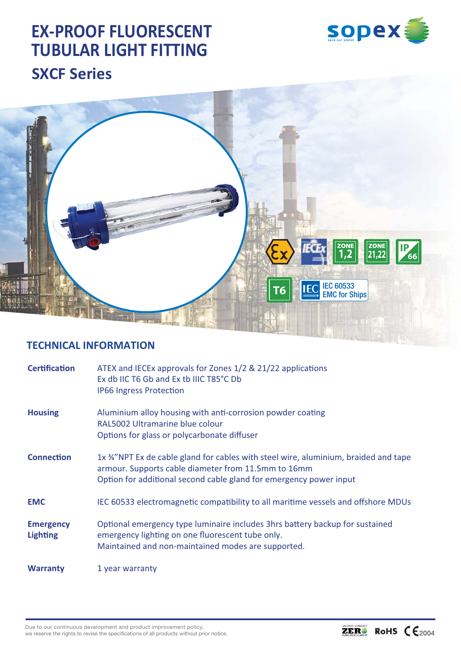# **EX-PROOF FLUORESCENT TUBULAR LIGHT FITTING SXCF Series**





## **TECHNICAL INFORMATION**

| <b>Certification</b>                | ATEX and IECEx approvals for Zones 1/2 & 21/22 applications<br>Ex db IIC T6 Gb and Ex tb IIIC T85°C Db<br><b>IP66 Ingress Protection</b>                                                                         |  |  |  |  |
|-------------------------------------|------------------------------------------------------------------------------------------------------------------------------------------------------------------------------------------------------------------|--|--|--|--|
| <b>Housing</b>                      | Aluminium alloy housing with anti-corrosion powder coating<br>RAL5002 Ultramarine blue colour<br>Options for glass or polycarbonate diffuser                                                                     |  |  |  |  |
| <b>Connection</b>                   | 1x 34"NPT Ex de cable gland for cables with steel wire, aluminium, braided and tape<br>armour. Supports cable diameter from 11.5mm to 16mm<br>Option for additional second cable gland for emergency power input |  |  |  |  |
| <b>EMC</b>                          | IEC 60533 electromagnetic compatibility to all maritime vessels and offshore MDUs                                                                                                                                |  |  |  |  |
| <b>Emergency</b><br><b>Lighting</b> | Optional emergency type luminaire includes 3hrs battery backup for sustained<br>emergency lighting on one fluorescent tube only.<br>Maintained and non-maintained modes are supported.                           |  |  |  |  |
| <b>Warranty</b>                     | 1 year warranty                                                                                                                                                                                                  |  |  |  |  |